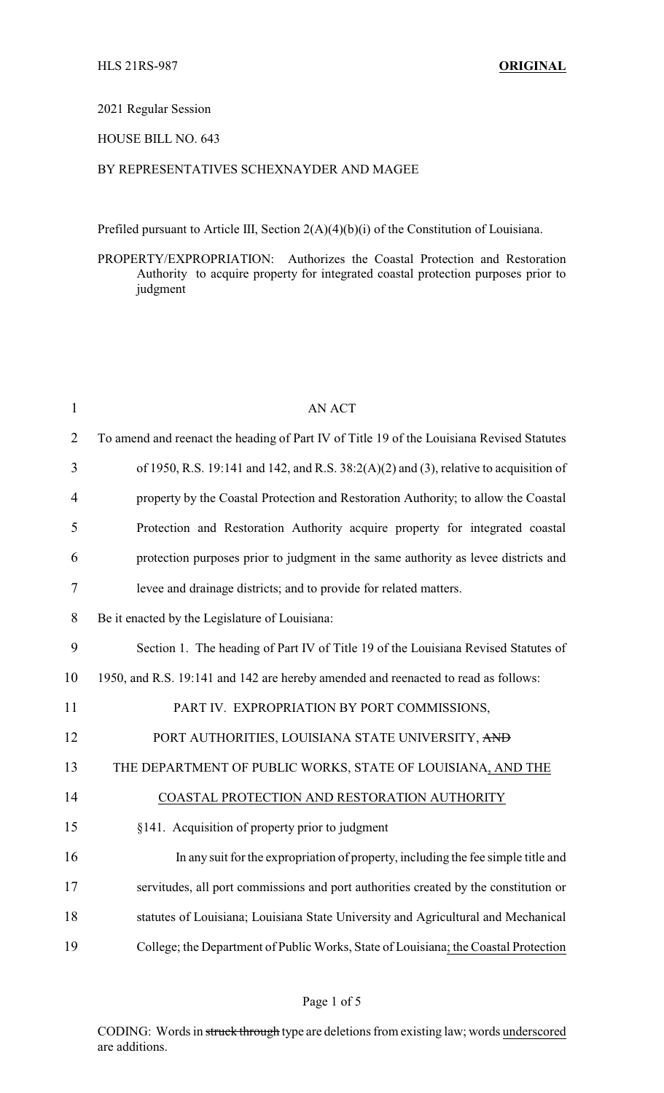## 2021 Regular Session

## HOUSE BILL NO. 643

# BY REPRESENTATIVES SCHEXNAYDER AND MAGEE

Prefiled pursuant to Article III, Section 2(A)(4)(b)(i) of the Constitution of Louisiana.

PROPERTY/EXPROPRIATION: Authorizes the Coastal Protection and Restoration Authority to acquire property for integrated coastal protection purposes prior to judgment

| $\mathbf{1}$   | <b>AN ACT</b>                                                                             |
|----------------|-------------------------------------------------------------------------------------------|
| $\overline{2}$ | To amend and reenact the heading of Part IV of Title 19 of the Louisiana Revised Statutes |
| 3              | of 1950, R.S. 19:141 and 142, and R.S. $38:2(A)(2)$ and (3), relative to acquisition of   |
| $\overline{4}$ | property by the Coastal Protection and Restoration Authority; to allow the Coastal        |
| 5              | Protection and Restoration Authority acquire property for integrated coastal              |
| 6              | protection purposes prior to judgment in the same authority as levee districts and        |
| 7              | levee and drainage districts; and to provide for related matters.                         |
| 8              | Be it enacted by the Legislature of Louisiana:                                            |
| 9              | Section 1. The heading of Part IV of Title 19 of the Louisiana Revised Statutes of        |
| 10             | 1950, and R.S. 19:141 and 142 are hereby amended and reenacted to read as follows:        |
| 11             | PART IV. EXPROPRIATION BY PORT COMMISSIONS,                                               |
| 12             | PORT AUTHORITIES, LOUISIANA STATE UNIVERSITY, AND                                         |
| 13             | THE DEPARTMENT OF PUBLIC WORKS, STATE OF LOUISIANA, AND THE                               |
| 14             | COASTAL PROTECTION AND RESTORATION AUTHORITY                                              |
| 15             | §141. Acquisition of property prior to judgment                                           |
| 16             | In any suit for the expropriation of property, including the fee simple title and         |
| 17             | servitudes, all port commissions and port authorities created by the constitution or      |
| 18             | statutes of Louisiana; Louisiana State University and Agricultural and Mechanical         |
| 19             | College; the Department of Public Works, State of Louisiana; the Coastal Protection       |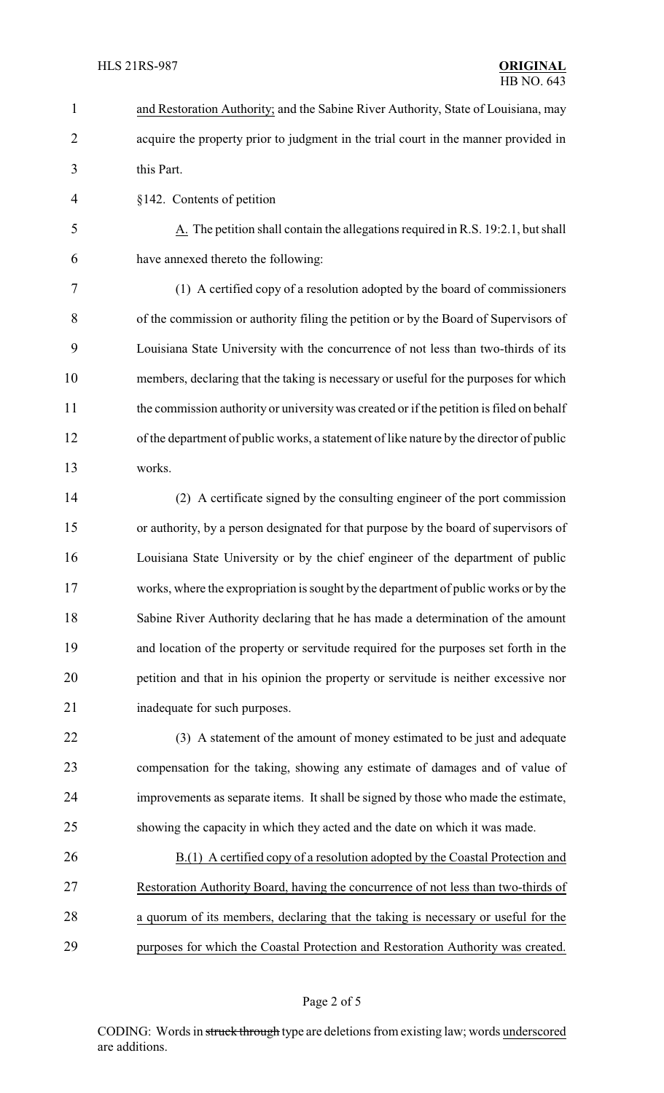- and Restoration Authority; and the Sabine River Authority, State of Louisiana, may acquire the property prior to judgment in the trial court in the manner provided in this Part. §142. Contents of petition 5 A. The petition shall contain the allegations required in R.S. 19:2.1, but shall have annexed thereto the following: (1) A certified copy of a resolution adopted by the board of commissioners of the commission or authority filing the petition or by the Board of Supervisors of Louisiana State University with the concurrence of not less than two-thirds of its members, declaring that the taking is necessary or useful for the purposes for which 11 the commission authority or university was created or if the petition is filed on behalf of the department of public works, a statement of like nature by the director of public works. (2) A certificate signed by the consulting engineer of the port commission or authority, by a person designated for that purpose by the board of supervisors of Louisiana State University or by the chief engineer of the department of public
- works, where the expropriation is sought by the department of public works or by the Sabine River Authority declaring that he has made a determination of the amount and location of the property or servitude required for the purposes set forth in the petition and that in his opinion the property or servitude is neither excessive nor inadequate for such purposes.
- (3) A statement of the amount of money estimated to be just and adequate compensation for the taking, showing any estimate of damages and of value of improvements as separate items. It shall be signed by those who made the estimate, showing the capacity in which they acted and the date on which it was made.
- B.(1) A certified copy of a resolution adopted by the Coastal Protection and Restoration Authority Board, having the concurrence of not less than two-thirds of a quorum of its members, declaring that the taking is necessary or useful for the purposes for which the Coastal Protection and Restoration Authority was created.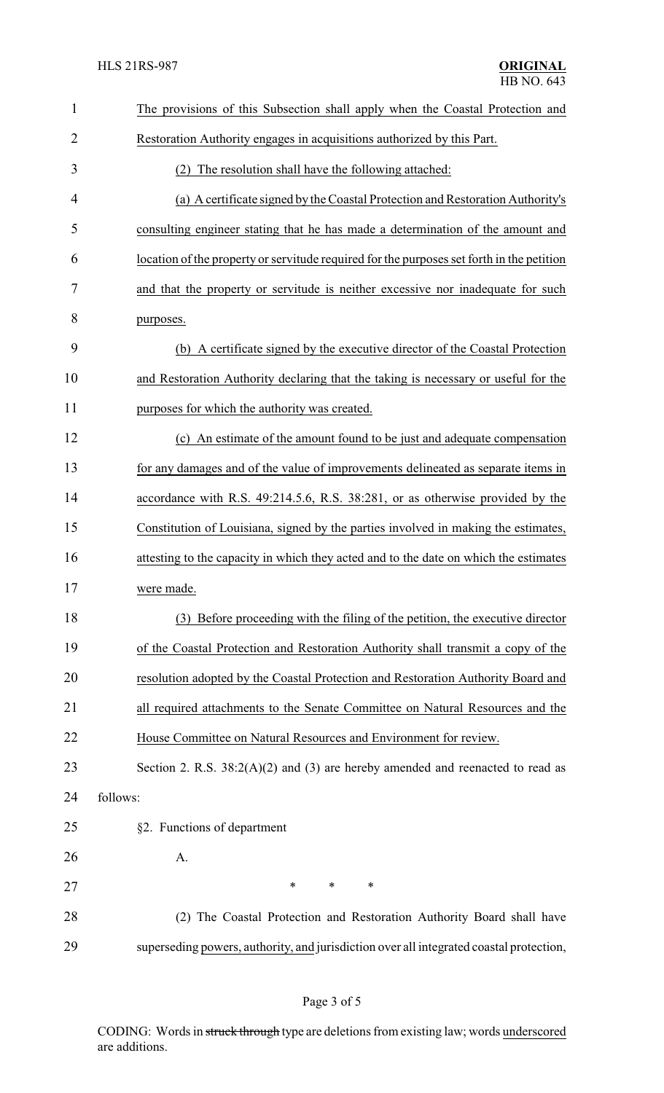| $\mathbf{1}$   | The provisions of this Subsection shall apply when the Coastal Protection and             |
|----------------|-------------------------------------------------------------------------------------------|
| $\overline{2}$ | Restoration Authority engages in acquisitions authorized by this Part.                    |
| 3              | (2) The resolution shall have the following attached:                                     |
| 4              | (a) A certificate signed by the Coastal Protection and Restoration Authority's            |
| 5              | consulting engineer stating that he has made a determination of the amount and            |
| 6              | location of the property or servitude required for the purposes set forth in the petition |
| 7              | and that the property or servitude is neither excessive nor inadequate for such           |
| 8              | purposes.                                                                                 |
| 9              | (b) A certificate signed by the executive director of the Coastal Protection              |
| 10             | and Restoration Authority declaring that the taking is necessary or useful for the        |
| 11             | purposes for which the authority was created.                                             |
| 12             | (c) An estimate of the amount found to be just and adequate compensation                  |
| 13             | for any damages and of the value of improvements delineated as separate items in          |
| 14             | accordance with R.S. 49:214.5.6, R.S. 38:281, or as otherwise provided by the             |
| 15             | Constitution of Louisiana, signed by the parties involved in making the estimates,        |
| 16             | attesting to the capacity in which they acted and to the date on which the estimates      |
| 17             | were made.                                                                                |
| 18             | (3) Before proceeding with the filing of the petition, the executive director             |
| 19             | of the Coastal Protection and Restoration Authority shall transmit a copy of the          |
| 20             | resolution adopted by the Coastal Protection and Restoration Authority Board and          |
| 21             | all required attachments to the Senate Committee on Natural Resources and the             |
| 22             | House Committee on Natural Resources and Environment for review.                          |
| 23             | Section 2. R.S. $38:2(A)(2)$ and (3) are hereby amended and reenacted to read as          |
| 24             | follows:                                                                                  |
| 25             | §2. Functions of department                                                               |
| 26             | A.                                                                                        |
| 27             | $\ast$<br>$\ast$<br>∗                                                                     |
| 28             | (2) The Coastal Protection and Restoration Authority Board shall have                     |
| 29             | superseding powers, authority, and jurisdiction over all integrated coastal protection,   |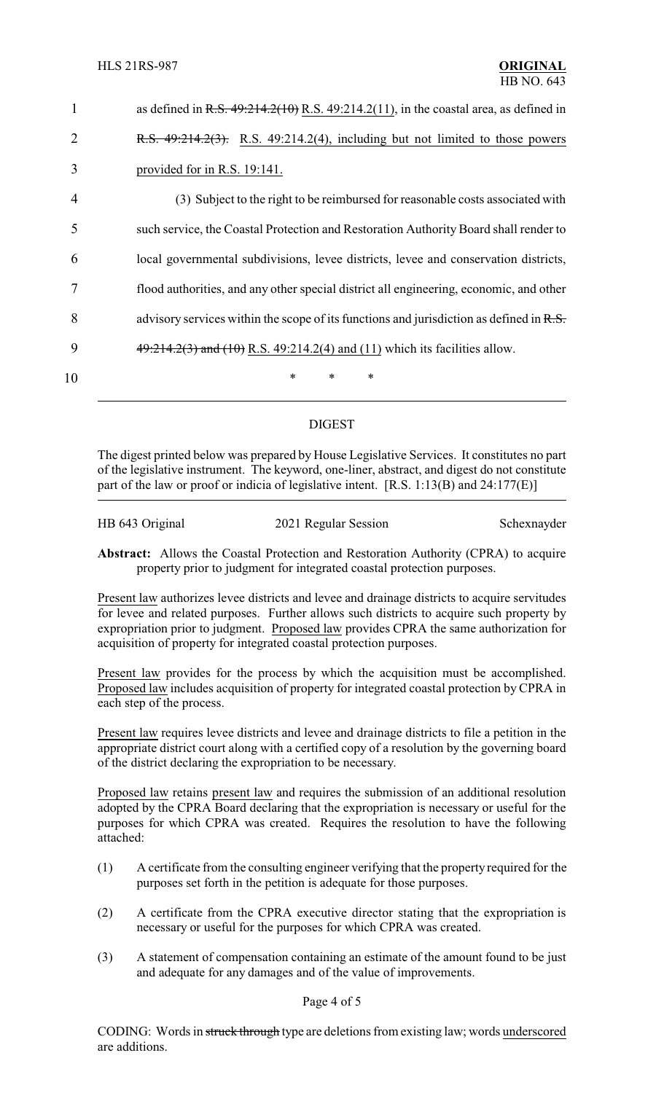| 1              | as defined in R.S. $49:214.2(10)$ R.S. $49:214.2(11)$ , in the coastal area, as defined in |
|----------------|--------------------------------------------------------------------------------------------|
| $\overline{2}$ | R.S. $49:214.2(3)$ . R.S. $49:214.2(4)$ , including but not limited to those powers        |
| 3              | provided for in R.S. 19:141.                                                               |
| 4              | (3) Subject to the right to be reimbursed for reasonable costs associated with             |
| 5              | such service, the Coastal Protection and Restoration Authority Board shall render to       |
| 6              | local governmental subdivisions, levee districts, levee and conservation districts,        |
| 7              | flood authorities, and any other special district all engineering, economic, and other     |
| 8              | advisory services within the scope of its functions and jurisdiction as defined in $R.S.$  |
| 9              | $49:214.2(3)$ and $(10)$ R.S. 49:214.2(4) and (11) which its facilities allow.             |
| 10             | $\ast$<br>*<br>$\ast$                                                                      |
|                |                                                                                            |

# DIGEST

The digest printed below was prepared by House Legislative Services. It constitutes no part of the legislative instrument. The keyword, one-liner, abstract, and digest do not constitute part of the law or proof or indicia of legislative intent. [R.S. 1:13(B) and 24:177(E)]

HB 643 Original 2021 Regular Session Schexnayder

**Abstract:** Allows the Coastal Protection and Restoration Authority (CPRA) to acquire property prior to judgment for integrated coastal protection purposes.

Present law authorizes levee districts and levee and drainage districts to acquire servitudes for levee and related purposes. Further allows such districts to acquire such property by expropriation prior to judgment. Proposed law provides CPRA the same authorization for acquisition of property for integrated coastal protection purposes.

Present law provides for the process by which the acquisition must be accomplished. Proposed law includes acquisition of property for integrated coastal protection by CPRA in each step of the process.

Present law requires levee districts and levee and drainage districts to file a petition in the appropriate district court along with a certified copy of a resolution by the governing board of the district declaring the expropriation to be necessary.

Proposed law retains present law and requires the submission of an additional resolution adopted by the CPRA Board declaring that the expropriation is necessary or useful for the purposes for which CPRA was created. Requires the resolution to have the following attached:

- (1) A certificate from the consulting engineer verifying that the property required for the purposes set forth in the petition is adequate for those purposes.
- (2) A certificate from the CPRA executive director stating that the expropriation is necessary or useful for the purposes for which CPRA was created.
- (3) A statement of compensation containing an estimate of the amount found to be just and adequate for any damages and of the value of improvements.

#### Page 4 of 5

CODING: Words in struck through type are deletions from existing law; words underscored are additions.